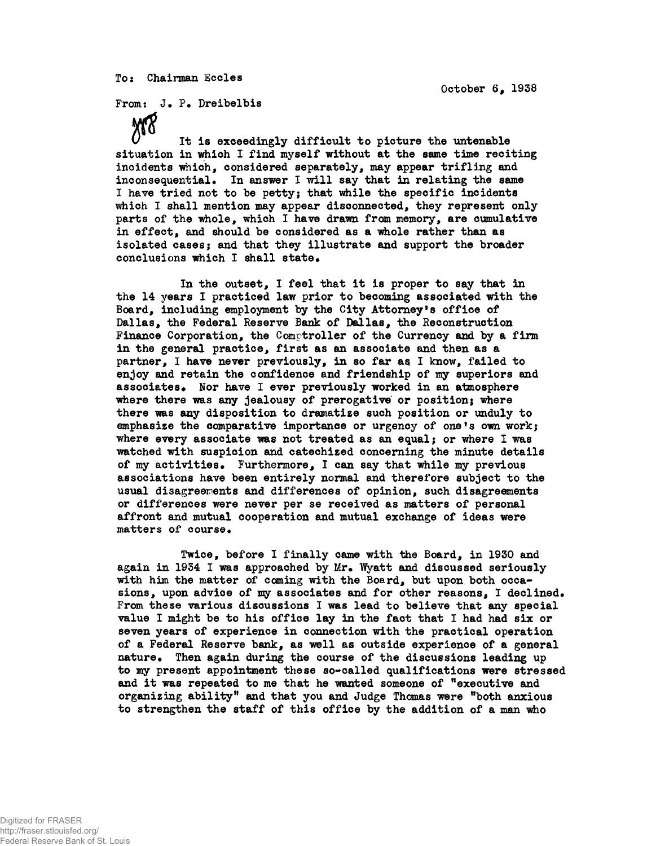**To: Chairman Ecoles**

**October 6# 1938**

From: J. P. Dreibelbis

**M8 It is exceedingly difficult to picture the untenable situation in which I find myself without at the same time reciting incidents which, considered separately, may appear trifling and** inconsequential. In answer I will say that in relating the same **I have tried not to be petty; that while the specific incidents** which I shall mention may appear disconnected, they represent only **parts of the whole, which I have drawn from memory, are cumulative in effect, and should be considered as a whole rather than as isolated cases; and that they illustrate and support the broader** conclusions which I shall state.

**In the outset, I feel that it is proper to say that in the 14 years I practiced law prior to becoming associated with the Board, including employment by the City Attorney's office of Dallas, the Federal Reserve Bank of Dallas, the Reconstruction Finance Corporation, the Comptroller of the Currency and by a firm in the general practice, first as an associate and then as a partner, I have never previously, in so far as I know, failed to enjoy and retain the confidence and friendship of my superiors and** associates. Nor have I ever previously worked in an atmosphere **where there was any jealousy of prerogative or position; where there was any disposition to dramatise such position or unduly to emphasize the comparative importance or urgency of one<sup>f</sup>s own work; where every associate was not treated as an equal; or where I was watched with suspicion and catechized concerning the minute details of my activities\* Furthermore, I can say that while my previous associations have been entirely normal and therefore subject to the usual disagreements and differences of opinion, such disagreements or differences were never per se received as matters of personal affront and mutual cooperation and mutual exchange of ideas were** matters of course.

**Twice, before I finally came with the Board, in 1930 and** again in 1934 I was approached by Mr. Wyatt and discussed seriously **with him the matter of coming with the Board, but upon both occasions, upon advice of my associates and for other reasons, I declined\* From these various discussions I was lead to believe that any special value I might be to his office lay in the fact that I had had six or seven years of experience in connection with the practical operation of a Federal Reserve bank, as well as outside experience of a general nature\* Then again during the course of the discussions leading up to my present appointment these so-called qualifications were stressed and it was repeated to me that he wanted someone of "executive and organizing abilityft and that you and Judge Thomas were "both anxious to strengthen the staff of this office by the addition of a man who**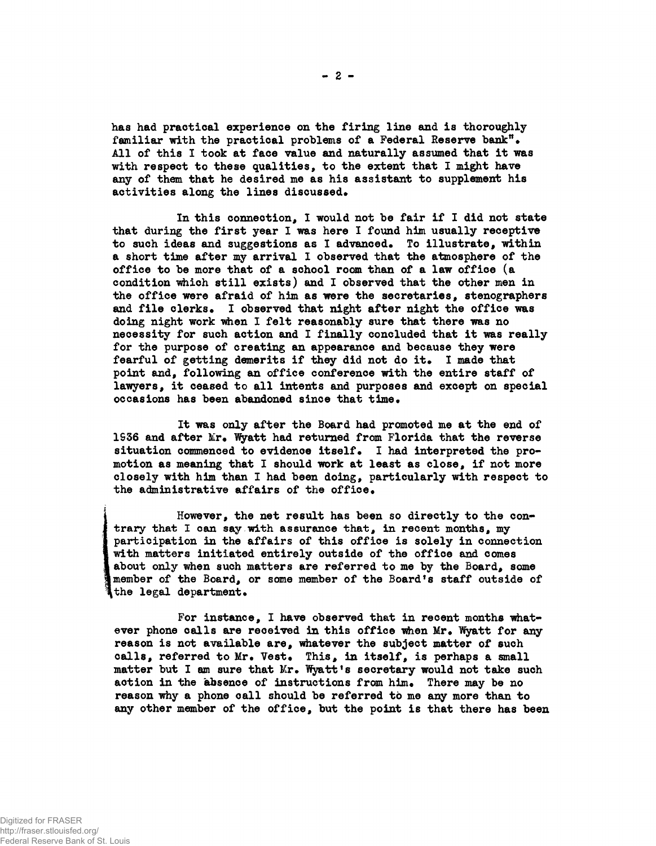**has had practical experience on the firing line and is thoroughly familiar with the practical problems of a Federal Reserve bank"\* All of this I took at face value and naturally assumed that it was with respect to these qualities, to the extent that I might have any of them that he desired me as his assistant to supplement his** activities along the lines discussed.

**In this connection, I would not be fair if I did not state that during the first year I was here I found him usually receptive to such ideas and suggestions as I advanced\* To illustrate, within a short time after my arrival I observed that the atmosphere of the office to be more that of a school room than of a law office (a condition which still exists) and I observed that the other men in the office were afraid of him as were the secretaries, stenographers** and file clerks. I observed that night after night the office was **doing night work when I felt reasonably sure that there was no necessity for such action and I finally concluded that it was really for the purpose of creating an appearance and because they were** fearful of getting demerits if they did not do it. I made that **point and, following an office conference with the entire staff of lawyers, it ceased to all intents and purposes and except on special** occasions has been abandoned since that time.

**It was only after the Board had promoted me at the end of** 1936 and after Mr. Wyatt had returned from Florida that the reverse situation commenced to evidence itself. I had interpreted the pro**motion as meaning that I should work at least as close, if not more closely with him than I had been doing, particularly with respect to** the administrative affairs of the office.

**However, the net result has been so directly to the contrary that I can say with assurance that, in recent months, my participation in the affairs of this office is solely in connection with matters initiated entirely outside of the office and comes about only when such matters are referred to me by the Board, some member of the Board, or some member of the Board<sup>f</sup>s staff outside of** the legal department.

**For instance, I have observed that in recent months what**ever phone calls are received in this office when Mr. Wyatt for any **reason is not available are, whatever the subject matter of such** calls, referred to Mr. Vest. This, in itself, is perhaps a small matter but I am sure that Mr. Wyatt's secretary would not take such action in the absence of instructions from him. There may be no **reason why a phone call should be referred to me any more than to any other member of the office, but the point is that there has been**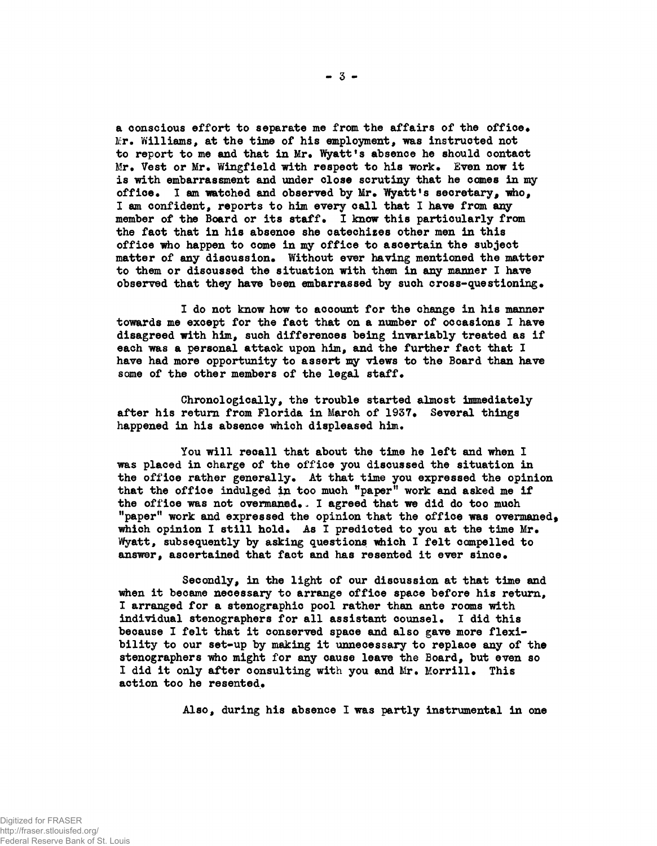**a conscious effort to separate me from the affairs of the office. Kr. Yfilliams, at the time of his employment, was instructed not** to report to me and that in Mr. Wyatt's absence he should contact **Mr. Vest or Mr. Wingfield with respect to his work. Even now it is with embarrassment and under close scrutiny that he comes in my office. I am watched and observed by Mr. "Wyatt's secretary, who, I am confident, reports to him every call that I have from any member of the Board or its staff. I know this particularly from the fact that in his absence she catechizes other men in this office who happen to come in my office to ascertain the subject matter of any discussion. Without ever having mentioned the matter to them or discussed the situation with them in any manner I have observed that they have been embarrassed by such cross-questioning.**

**I do not know how to account for the change in his manner towards me except for the fact that on a number of occasions I have disagreed with him, such differences being invariably treated as if each was a personal attack upon him, and the further fact that I have had more opportunity to assert my views to the Board than have some of the other members of the legal staff.**

**Chronologically, the trouble started almost immediately after his return from Florida in March of 1937. Several things happened in his absence which displeased him.**

**You will recall that about the time he left and when I was placed in charge of the office you discussed the situation in the office rather generally. At that time you expressed the opinion** that the office indulged in too much "paper" work and asked me if **the office was not overaanad., I agreed that we did do too much "paper" work and expressed the opinion that the office was overmaned<sup>f</sup> which opinion I still hold. As I predicted to you at the time Mr. Wyatt, subsequently by asking questions iwhich I felt compelled to** answer, ascertained that fact and has resented it ever since.

**Secondly, in the light of our discussion at that time and when it became necessary to arrange office space before his return, I arranged for a stenographic pool rather than ante rooms with individual stenographers for all assistant counsel. I did this because I felt that it conserved space and also gave more flexibility to our set-up by making it unnecessary to replace any of the stenographers who might for any cause leave the Board, but even so I did it only after consulting with you and Mr. Morrill. This action too he resented.**

**Also, during his absence I was partly instrumental in one**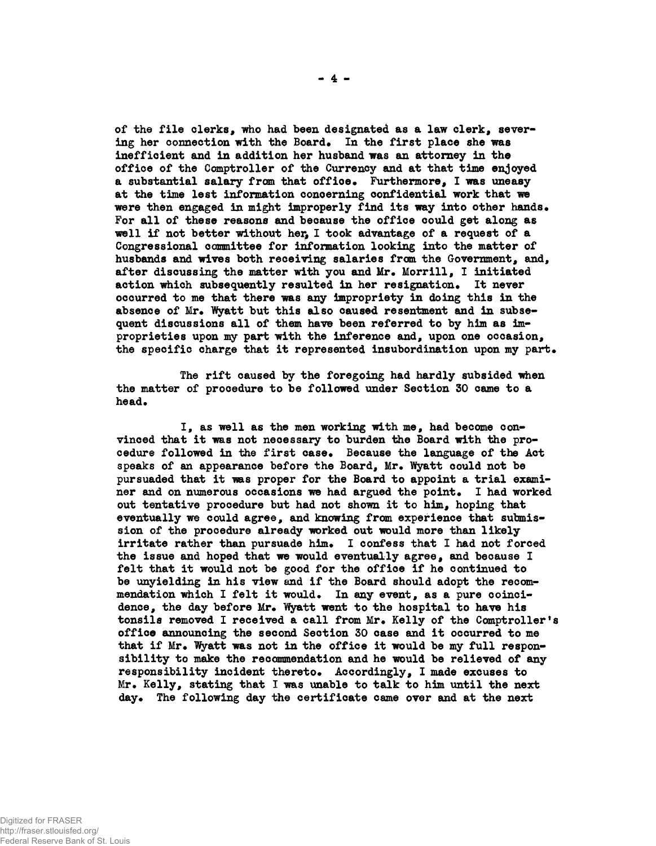**of the file clerks, who had been designated as a law clerk, severing her connection with the Board. In the first place she was inefficient and in addition her husband was an attorney in the office of the Comptroller of the Currency and at that time enjoyed a substantial salary from that office• Furthermore, I was uneasy at the time lest information concerning confidential work that we were then engaged in might improperly find its way into other hands\* For all of these reasons and because the office could get along as well if not better without her, I took advantage of a request of a Congressional committee for information looking into the matter of husbands and wives both receiving salaries from the Government, and,** after discussing the matter with you and Mr. Morrill, I initiated action which subsequently resulted in her resignation. It never **occurred to me that there was any impropriety in doing this in the** absence of Mr. Wyatt but this also caused resentment and in subse**quent discussions all of them have been referred to by him as improprieties upon my part with the inference and, upon one occasion, the specific charge that it represented insubordination upon my part\***

**The rift caused by the foregoing had hardly subsided when the matter of procedure to be followed under Section 30 came to a** head.

**I, as well as the men working with me, had become convinced that it was not necessary to burden the Board with the pro**cedure followed in the first case. Because the language of the Act speaks of an appearance before the Board, Mr. Wyatt could not be **pursuaded that it was proper for the Board to appoint a trial exami**ner and on numerous occasions we had argued the point. I had worked **out tentative procedure but had not shown it to him, hoping that eventually we could agree, and knowing from experience that submission of the procedure already worked out would more than likely** irritate rather than pursuade him. I confess that I had not forced **the issue and hoped that we would eventually agree, and because I felt that it would not be good for the office if he continued to be unyielding in his view and if the Board should adopt the recom**mendation which I felt it would. In any event, as a pure coincidence, the day before Mr. Wyatt went to the hospital to have his tonsils removed I received a call from Mr. Kelly of the Comptroller's **office announcing the second Section 30 case and it occurred to me** that if Mr. Wyatt was not in the office it would be my full respon**sibility to make the recommendation and he would be relieved of any responsibility incident thereto\* Accordingly, I made excuses to** Mr. Kelly, stating that I was unable to talk to him until the next **day\* The following day the certificate came over and at the next**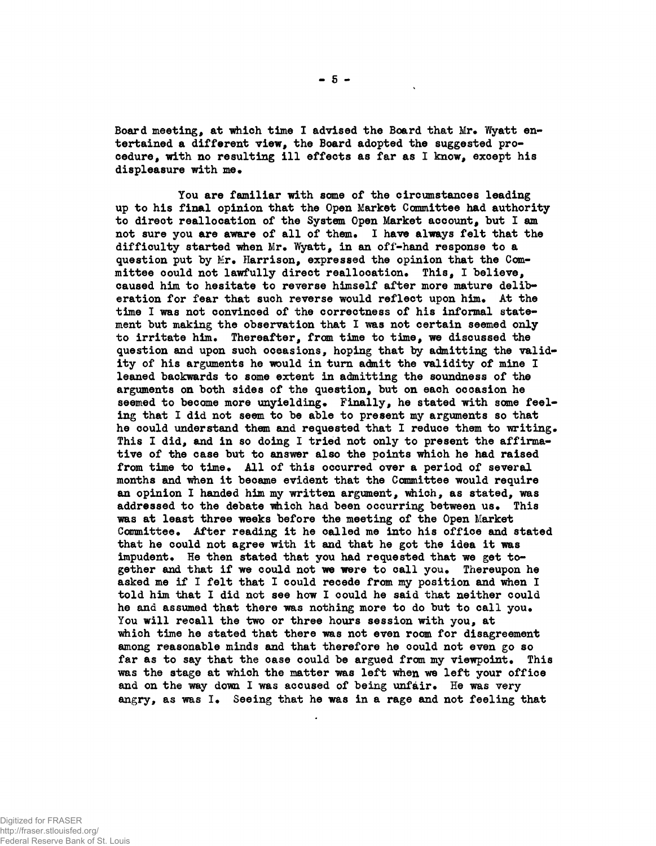Board meeting, at which time I advised the Board that Mr. Wyatt en**tertained a different view, the Board adopted the suggested procedure, with no resulting ill effects as far as I know, except his displeasure with me.**

**You are familiar with some of the circumstances leading up to his final opinion that the Open Market Committee had authority to direct reallocation of the System Open Market account, but I am** not sure you are aware of all of them. I have always felt that the **difficulty started when Mr. Wyatt, in an off-hand response to a question put by Mr. Harrison, expressed the opinion that the Committee could not lawfully direct reallocation. This, I believe, caused him to hesitate to reverse himself after more mature deliberation for fear that such reverse would reflect upon him. At the time I was not convinced of the correctness of his informal state**ment but making the observation that I was not certain seemed only **to irritate him. Thereafter, from time to time, we discussed the question and upon such occasions, hoping that by admitting the validity of his arguments he would in turn admit the validity of mine I leaned backwards to some extent in admitting the soundness of the arguments on both sides of the question, but on each occasion he seemed to become more unyielding. Finally, he stated with some feeling that I did not seem to be able to present my arguments so that he could understand them and requested that I reduce them to writing. This I did, and in so doing I tried not only to present the affirmative of the case but to answer also the points which he had raised from time to time. All of this occurred over a period of several months and when it became evident that the Committee would require an opinion I handed him my written argument, which, as stated, was addressed to the debate which had been occurring between us. This was at least three weeks before the meeting of the Open Market Committee. After reading it he called me into his office and stated that he could not agree with it and that he got the idea it was impudent. He then stated that you had requested that we get together and that if we could not we were to call you. Thereupon he asked me if I felt that I could recede from my position and when I told him that I did not see how I could he said that neither could he and assumed that there was nothing more to do but to call you. You will recall the two or three hours session with you, at which time he stated that there was not even room for disagreement among reasonable minds and that therefore he could not even go so far as to say that the case could be argued from my viewpoint. This was the stage at which the matter was left when we left your office and on the way down I was accused of being unfair. He was very angry, as was I. Seeing that he was in a rage and not feeling that**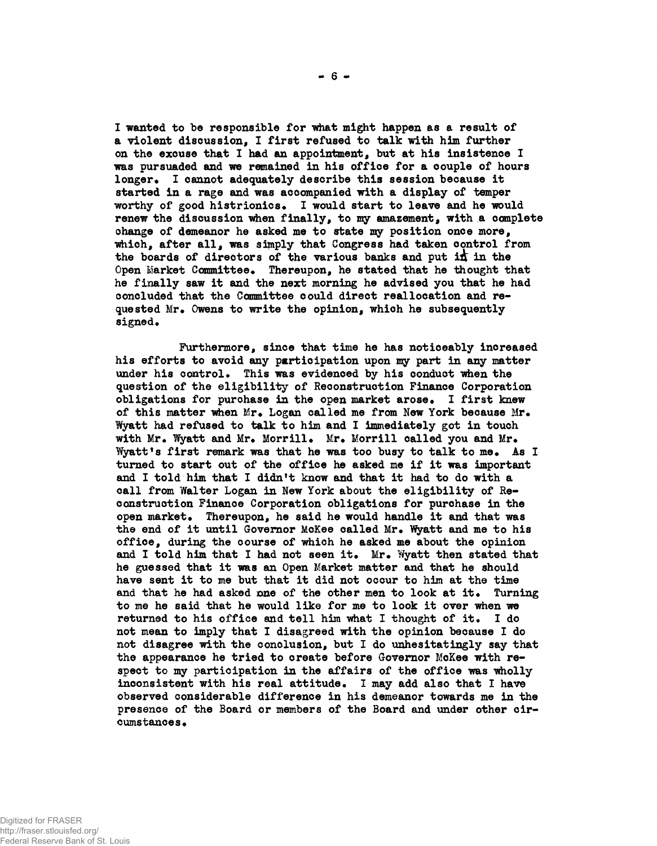**I wanted to be responsible for what might happen as a result of a violent discussion, I first refused to talk with him further on the excuse that I had an appointment, but at his insistence I was pursuaded and we remained in his office for a couple of hours longer\* I cannot adequately describe this session because it started in a rage and was accompanied with a display of temper worthy of good histrionics\* I would start to leave and he would renew the discussion when finally, to my amazement, with a complete change of demeanor he asked me to state my position once more, which, after all, was simply that Congress had taken control from the boards of directors of the various banks and put i£ in the** Open Market Committee. Thereupon, he stated that he thought that **he finally saw it and the next morning he advised you that he had concluded that the Committee could direct reallocation and requested Mr\* Owens to write the opinion, which he subsequently** signed.

**Furthermore, since that time he has noticeably increased his efforts to avoid any participation upon my part in any matter** under his control. This was evidenced by his conduct when the **question of the eligibility of Reconstruction Finance Corporation obligations for purchase in the open market arose\* I first knew** of this matter when Mr. Logan called me from New York because Mr. **Wyatt had refused to talk to him and I immediately got in touch** with Mr. Wyatt and Mr. Morrill. Mr. Morrill called you and Mr. **?fyatt<sup>f</sup>s first remark was that he was too busy to talk to me\* As I turned to start out of the office he asked me if it was important and I told him that I didn't know and that it had to do with a call from Walter Logan in New York about the eligibility of Reconstruction Finance Corporation obligations for purchase in the** open market. Thereupon, he said he would handle it and that was the end of it until Governor McKee called Mr. Wyatt and me to his **office, during the course of which he asked me about the opinion** and I told him that I had not seen it. Mr. Wyatt then stated that **he guessed that it was an Open Market matter and that he should have sent it to me but that it did not occur to him at the time** and that he had asked one of the other men to look at it. Turning **to me he said that he would like for me to look it over when we returned to his office and tell him what I thought of it\* I do not mean to imply that I disagreed with the opinion because I do not disagree with the conclusion, but I do unhesitatingly say that the appearance he tried to create before Governor McKee with respect to my participation in the affairs of the office was wholly** inconsistent with his real attitude. I may add also that I have **observed considerable difference in his demeanor towards me in the presence of the Board or members of the Board and under other cir**cumstances.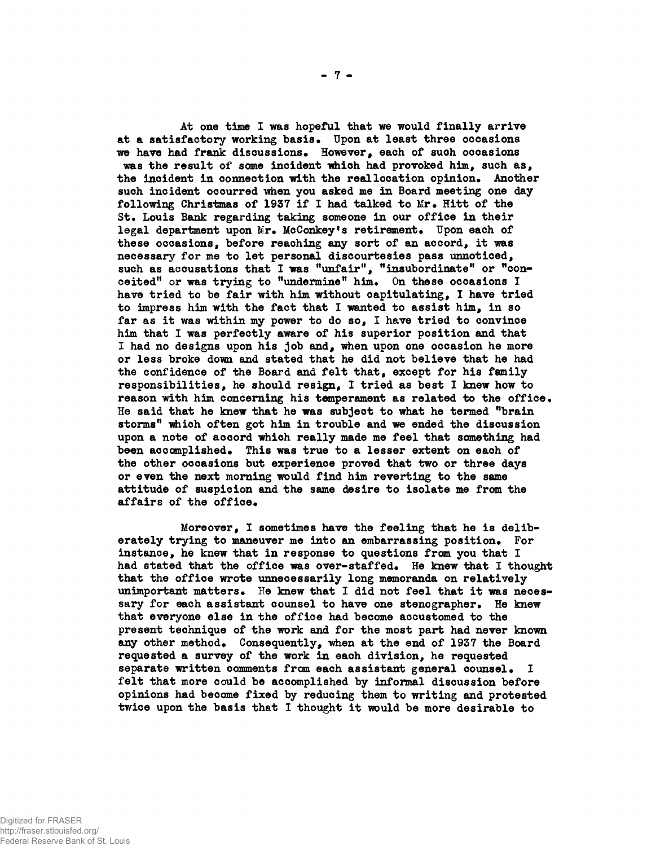**At one time I was hopeful that we would finally arrive at a satisfactory working basis• Upon at least three occasions** we have had frank discussions. However, each of such occasions was the result of some incident which had provoked him, such as, **the incident in connection with the real location opinion\* Another such incident occurred when you asked me in Board meeting one day** following Christmas of 1937 if I had talked to Mr. Hitt of the St. Louis Bank regarding taking someone in our office in their legal department upon Mr. McConkey's retirement. Upon each of **these occasions, before reaching any sort of an accord, it was necessary for me to let personal discourtesies pass unnoticed,** such as accusations that I was "unfair", "insubordinate" or "conceited" or was trying to "undermine" him. On these occasions I **have tried to be fair with him without capitulating, I have tried to impress him with the fact that I wanted to assist him, in so far as it was within my power to do so, I have tried to convince him that I was perfectly aware of his superior position and that I had no designs upon his job and, when upon one occasion he more or less broke down and stated that he did not believe that he had the confidence of the Board and felt that, except for his family responsibilities, he should resign, I tried as best I knew how to reason with him concerning his temperament as related to the office\* He said that he knew that he was subject to what he termed "brain storms" "which often got him in trouble and we ended the discussion upon a note of accord which really made me feel that something had been accomplished\* This was true to a lesser extent on each of the other occasions but experience proved that two or three days or even the next morning would find him reverting to the same attitude of suspicion and the same desire to isolate me from the** affairs of the office.

**Moreover, I sometimes have the feeling that he is delib**erately trying to maneuver me into an embarrassing position. For **instance, he knew that in response to questions from you that I** had stated that the office was over-staffed. He knew that I thought **that the office wrote unnecessarily long memoranda on relatively** unimportant matters. He knew that I did not feel that it was necessary for each assistant counsel to have one stenographer. He knew **that everyone else in the office had become accustomed to the present technique of the work and for the most part had never known** any other method. Consequently, when at the end of 1937 the Board **requested a survey of the work in each division, he requested** separate written comments from each assistant general counsel. **felt that more could be accomplished by informal discussion before opinions had become fixed by reducing them to writing and protested twice upon the basis that I thought it would be more desirable to**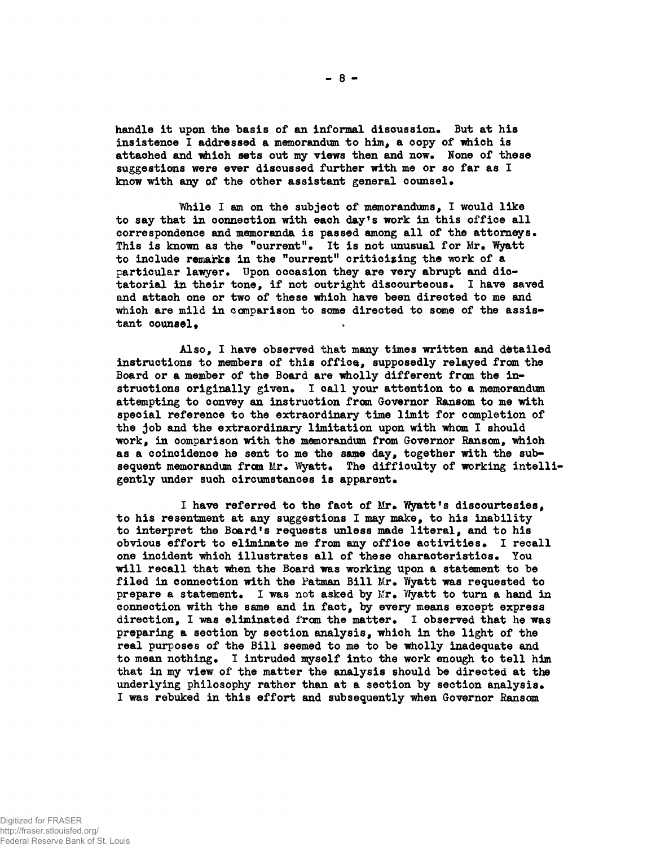handle it upon the basis of an informal discussion. But at his **insistence I addressed a memorandum to him, a copy of which is** attached and which sets out my views then and now. None of these **suggestions were ever discussed further with me or so far as I know with any of the other assistant general counsel•**

**While I am on the subject of memorandums, I would like to say that in connection with each day<sup>f</sup>s work in this office all** correspondence and memoranda is passed among all of the attorneys. This is known as the "current". It is not unusual for Mr. Wyatt **to include remarks in the "current" criticizing the work of a** particular lawyer. Upon occasion they are very abrupt and dic**tatorial in their tone, if not outright discourteous\* I have saved and attach one or two of these which have been directed to me and which are mild in comparison to some directed to some of the assis**tant counsel.

**Also, I have observed that many times written and detailed instructions to members of this office, supposedly relayed from the Board or a member of the Board are wholly different from the in**structions originally given. I call your attention to a memorandum **attempting to convey an instruction from Governor Ransom to me with special reference to the extraordinary time limit for completion of the job and the extraordinary limitation upon with whom I should work, in comparison with the memorandum from Governor Ransom, which as a coincidence he sent to me the same day, together with the sub**sequent memorandum from Mr. Wyatt. The difficulty of working intelligently under such circumstances is apparent.

I have referred to the fact of Mr. Wyatt's discourtesies, **to his resentment at any suggestions I may make, to his inability to interpret the Board's requests unless made literal, and to his obvious effort to eliminate me from any office activities\* I recall one incident which illustrates all of these characteristics\* You will recall that when the Board was working upon a statement to be** filed in connection with the Patman Bill Mr. Wyatt was requested to **prepare a statement.** I was not asked by Mr. Wyatt to turn a hand in **connection with the same and in fact, by every means except express** direction, I was eliminated from the matter. I observed that he was **preparing a section by section analysis, which in the light of the real purposes of the Bill seemed to me to be wholly inadequate and** to mean nothing. I intruded myself into the work enough to tell him **that in my view of the matter the analysis should be directed at the underlying philosophy rather than at a section by section analysis\* I was rebuked in this effort and subsequently when Governor Ransom**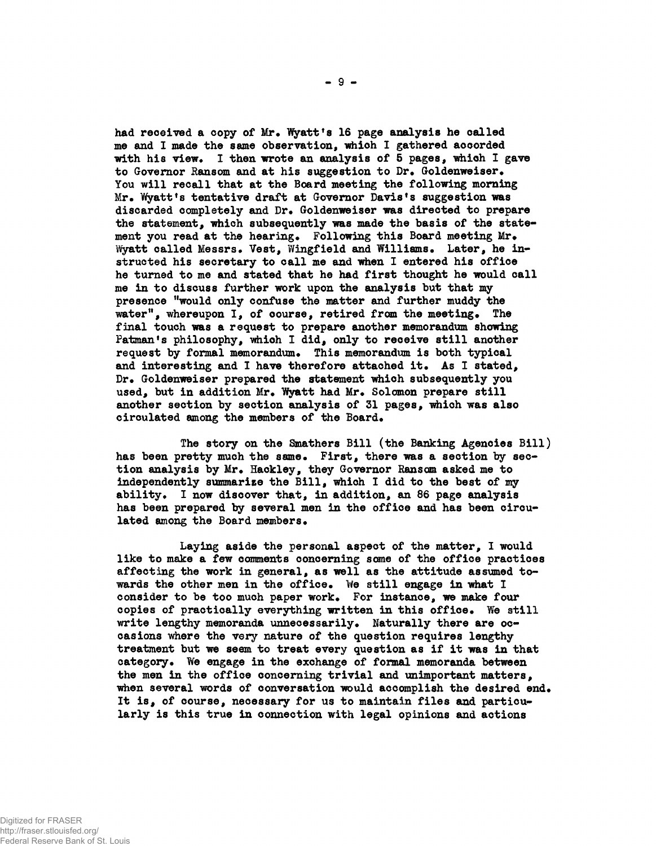had received a copy of Mr. Wyatt's 16 page analysis he called **me and I made the same observation, which I gathered accorded** with his view. I then wrote an analysis of 5 pages, which I gave to Governor Ransom and at his suggestion to Dr. Goldenweiser. **You will recall that at the Board meeting the following morning Mr\* Wyatt<sup>f</sup>s tentative draft at Governor Davis<sup>f</sup>s suggestion was discarded completely and Dr\* Goldenweiser was directed to prepare the statement, which subsequently was made the basis of the state**ment you read at the hearing. Following this Board meeting Mr. Wyatt called Messrs. Vest, Wingfield and Williams. Later, he in**structed his secretary to call me and when I entered his office he turned to me and stated that he had first thought he would call me in to discuss further work upon the analysis but that my presence "would only confuse the matter and further muddy the** water", whereupon I, of course, retired from the meeting. The **final touch was a request to prepare another memorandum showing Patman<sup>f</sup>s philosophy, which I did, only to receive still another** request by formal memorandum. This memorandum is both typical and interesting and I have therefore attached it. As I stated, Dr. Goldenweiser prepared the statement which subsequently you used, but in addition Mr. Wyatt had Mr. Solomon prepare still **another section by section analysis of 31 pages, which was also** circulated among the members of the Board.

**The story on the Smathers Bill (the Banking Agencies Bill)** has been pretty much the same. First, there was a section by section analysis by Mr. Hackley, they Governor Ransom asked me to **independently summarize the Bill, which I did to the best of my ability\* I now discover that, in addition, an 86 page analysis has been prepared by several men in the office and has been circu**lated among the Board members.

**Laying aside the personal aspect of the matter, I would like to make a few comments concerning some of the office practices affecting the work in general, as well as the attitude assumed to**wards the other men in the office. We still engage in what I consider to be too much paper work. For instance, we make four copies of practically everything written in this office. We still write lengthy memoranda unnecessarily. Naturally there are oc**casions where the very nature of the question requires lengthy treatment but we seem to treat every question as if it was in that category\* We engage in the exchange of formal memoranda between the men in the office concerning trivial and unimportant matters,** when several words of conversation would accomplish the desired end. **It is, of course, necessary for us to maintain files and particularly is this true in connection with legal opinions and actions**